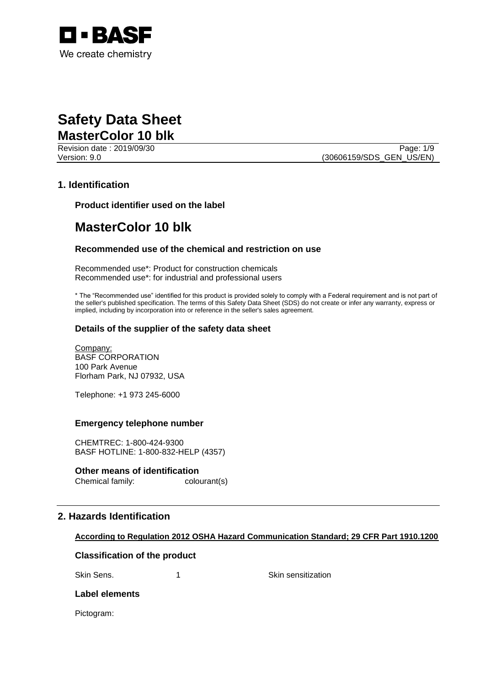

### **Safety Data Sheet MasterColor 10 blk**

Revision date : 2019/09/30 Page: 1/9 Version: 9.0 (30606159/SDS\_GEN\_US/EN)

### **1. Identification**

**Product identifier used on the label**

### **MasterColor 10 blk**

### **Recommended use of the chemical and restriction on use**

Recommended use\*: Product for construction chemicals Recommended use\*: for industrial and professional users

\* The "Recommended use" identified for this product is provided solely to comply with a Federal requirement and is not part of the seller's published specification. The terms of this Safety Data Sheet (SDS) do not create or infer any warranty, express or implied, including by incorporation into or reference in the seller's sales agreement.

### **Details of the supplier of the safety data sheet**

Company: BASF CORPORATION 100 Park Avenue Florham Park, NJ 07932, USA

Telephone: +1 973 245-6000

### **Emergency telephone number**

CHEMTREC: 1-800-424-9300 BASF HOTLINE: 1-800-832-HELP (4357)

### **Other means of identification**

Chemical family: colourant(s)

### **2. Hazards Identification**

### **According to Regulation 2012 OSHA Hazard Communication Standard; 29 CFR Part 1910.1200**

### **Classification of the product**

Skin Sens. 1 1 Skin sensitization

### **Label elements**

Pictogram: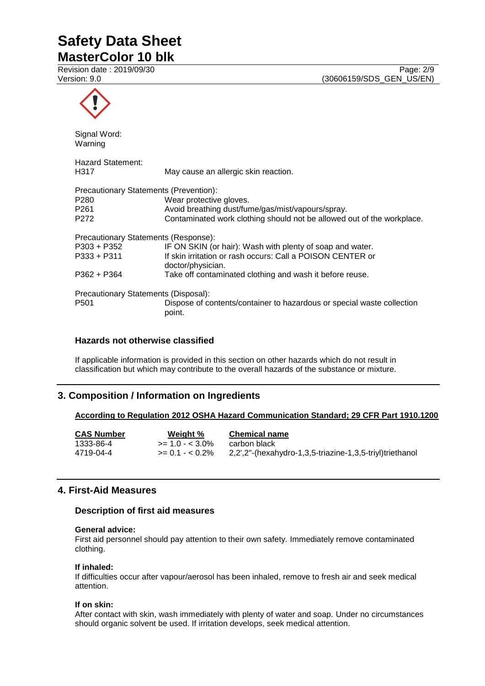**MasterColor 10 blk**

| Signal Word:<br>Warning                                                                |                                                                                                                                                                                                          |
|----------------------------------------------------------------------------------------|----------------------------------------------------------------------------------------------------------------------------------------------------------------------------------------------------------|
| <b>Hazard Statement:</b><br>H <sub>3</sub> 17                                          | May cause an allergic skin reaction.                                                                                                                                                                     |
| Precautionary Statements (Prevention):<br>P280<br>P <sub>261</sub><br>P <sub>272</sub> | Wear protective gloves.<br>Avoid breathing dust/fume/gas/mist/vapours/spray.<br>Contaminated work clothing should not be allowed out of the workplace.                                                   |
| Precautionary Statements (Response):<br>P303 + P352<br>P333 + P311<br>P362 + P364      | IF ON SKIN (or hair): Wash with plenty of soap and water.<br>If skin irritation or rash occurs: Call a POISON CENTER or<br>doctor/physician.<br>Take off contaminated clothing and wash it before reuse. |
| Precautionary Statements (Disposal):<br>P <sub>501</sub>                               | Dispose of contents/container to hazardous or special waste collection<br>point.                                                                                                                         |

### **Hazards not otherwise classified**

If applicable information is provided in this section on other hazards which do not result in classification but which may contribute to the overall hazards of the substance or mixture.

### **3. Composition / Information on Ingredients**

### **According to Regulation 2012 OSHA Hazard Communication Standard; 29 CFR Part 1910.1200**

| <b>CAS Number</b> | Weight %           | <b>Chemical name</b>                                     |
|-------------------|--------------------|----------------------------------------------------------|
| 1333-86-4         | $>= 1.0 - < 3.0\%$ | carbon black                                             |
| 4719-04-4         | $>= 0.1 - 0.2\%$   | 2,2',2"-(hexahydro-1,3,5-triazine-1,3,5-triyl)triethanol |

### **4. First-Aid Measures**

### **Description of first aid measures**

#### **General advice:**

First aid personnel should pay attention to their own safety. Immediately remove contaminated clothing.

### **If inhaled:**

If difficulties occur after vapour/aerosol has been inhaled, remove to fresh air and seek medical attention.

#### **If on skin:**

After contact with skin, wash immediately with plenty of water and soap. Under no circumstances should organic solvent be used. If irritation develops, seek medical attention.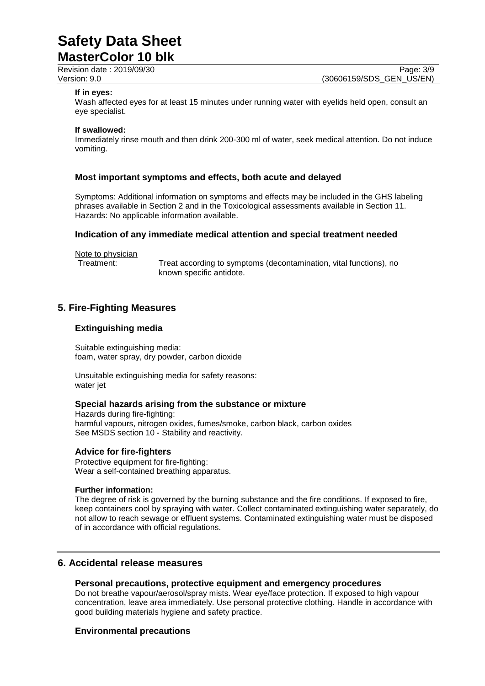**MasterColor 10 blk**

Revision date : 2019/09/30<br>
Version: 9.0 Page: 3/9<br>
Version: 9.0 (30606159/SDS GEN US/EN) (30606159/SDS\_GEN\_US/EN)

### **If in eyes:**

Wash affected eyes for at least 15 minutes under running water with eyelids held open, consult an eye specialist.

### **If swallowed:**

Immediately rinse mouth and then drink 200-300 ml of water, seek medical attention. Do not induce vomiting.

### **Most important symptoms and effects, both acute and delayed**

Symptoms: Additional information on symptoms and effects may be included in the GHS labeling phrases available in Section 2 and in the Toxicological assessments available in Section 11. Hazards: No applicable information available.

### **Indication of any immediate medical attention and special treatment needed**

Note to physician<br>Treatment:

Treat according to symptoms (decontamination, vital functions), no known specific antidote.

### **5. Fire-Fighting Measures**

### **Extinguishing media**

Suitable extinguishing media: foam, water spray, dry powder, carbon dioxide

Unsuitable extinguishing media for safety reasons: water jet

### **Special hazards arising from the substance or mixture**

Hazards during fire-fighting: harmful vapours, nitrogen oxides, fumes/smoke, carbon black, carbon oxides See MSDS section 10 - Stability and reactivity.

### **Advice for fire-fighters**

Protective equipment for fire-fighting: Wear a self-contained breathing apparatus.

#### **Further information:**

The degree of risk is governed by the burning substance and the fire conditions. If exposed to fire, keep containers cool by spraying with water. Collect contaminated extinguishing water separately, do not allow to reach sewage or effluent systems. Contaminated extinguishing water must be disposed of in accordance with official regulations.

### **6. Accidental release measures**

### **Personal precautions, protective equipment and emergency procedures**

Do not breathe vapour/aerosol/spray mists. Wear eye/face protection. If exposed to high vapour concentration, leave area immediately. Use personal protective clothing. Handle in accordance with good building materials hygiene and safety practice.

### **Environmental precautions**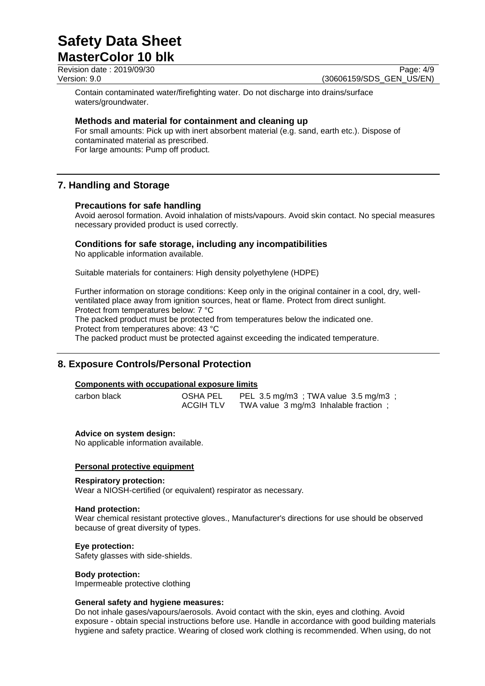**MasterColor 10 blk**

Revision date : 2019/09/30<br>
Version: 9.0 Page: 4/9<br>
Version: 9.0 (30606159/SDS GEN US/EN) (30606159/SDS\_GEN\_US/EN)

Contain contaminated water/firefighting water. Do not discharge into drains/surface waters/groundwater.

### **Methods and material for containment and cleaning up**

For small amounts: Pick up with inert absorbent material (e.g. sand, earth etc.). Dispose of contaminated material as prescribed. For large amounts: Pump off product.

### **7. Handling and Storage**

### **Precautions for safe handling**

Avoid aerosol formation. Avoid inhalation of mists/vapours. Avoid skin contact. No special measures necessary provided product is used correctly.

### **Conditions for safe storage, including any incompatibilities**

No applicable information available.

Suitable materials for containers: High density polyethylene (HDPE)

Further information on storage conditions: Keep only in the original container in a cool, dry, wellventilated place away from ignition sources, heat or flame. Protect from direct sunlight. Protect from temperatures below: 7 °C

The packed product must be protected from temperatures below the indicated one. Protect from temperatures above: 43 °C

The packed product must be protected against exceeding the indicated temperature.

### **8. Exposure Controls/Personal Protection**

### **Components with occupational exposure limits**

| carbon black | OSHA PEL         | PEL $3.5 \text{ mg/m}3$ ; TWA value $3.5 \text{ mg/m}3$ ; |
|--------------|------------------|-----------------------------------------------------------|
|              | <b>ACGIH TLV</b> | TWA value 3 mg/m3 Inhalable fraction;                     |

### **Advice on system design:**

No applicable information available.

### **Personal protective equipment**

### **Respiratory protection:**

Wear a NIOSH-certified (or equivalent) respirator as necessary.

### **Hand protection:**

Wear chemical resistant protective gloves., Manufacturer's directions for use should be observed because of great diversity of types.

### **Eye protection:**

Safety glasses with side-shields.

### **Body protection:**

Impermeable protective clothing

### **General safety and hygiene measures:**

Do not inhale gases/vapours/aerosols. Avoid contact with the skin, eyes and clothing. Avoid exposure - obtain special instructions before use. Handle in accordance with good building materials hygiene and safety practice. Wearing of closed work clothing is recommended. When using, do not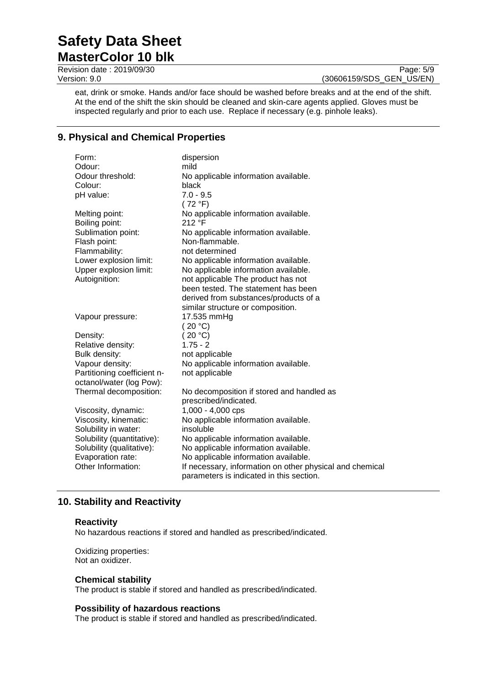**MasterColor 10 blk** Revision date : 2019/09/30<br>
Version: 9.0<br>
Version: 9.0 (30606159/SDS GEN US/EN)

(30606159/SDS\_GEN\_US/EN)

eat, drink or smoke. Hands and/or face should be washed before breaks and at the end of the shift. At the end of the shift the skin should be cleaned and skin-care agents applied. Gloves must be inspected regularly and prior to each use. Replace if necessary (e.g. pinhole leaks).

### **9. Physical and Chemical Properties**

| Form:                       | dispersion                                               |
|-----------------------------|----------------------------------------------------------|
| Odour:                      | mild                                                     |
| Odour threshold:            | No applicable information available.                     |
| Colour:                     | black                                                    |
| pH value:                   | $7.0 - 9.5$                                              |
|                             | (72 °F)                                                  |
| Melting point:              | No applicable information available.                     |
| Boiling point:              | 212 °F                                                   |
| Sublimation point:          | No applicable information available.                     |
| Flash point:                | Non-flammable.                                           |
| Flammability:               | not determined                                           |
| Lower explosion limit:      | No applicable information available.                     |
| Upper explosion limit:      | No applicable information available.                     |
| Autoignition:               | not applicable The product has not                       |
|                             | been tested. The statement has been                      |
|                             | derived from substances/products of a                    |
|                             | similar structure or composition.                        |
| Vapour pressure:            | 17.535 mmHg                                              |
|                             | (20 °C)                                                  |
| Density:                    | (20 °C)                                                  |
| Relative density:           | $1.75 - 2$                                               |
| Bulk density:               | not applicable                                           |
| Vapour density:             | No applicable information available.                     |
| Partitioning coefficient n- | not applicable                                           |
| octanol/water (log Pow):    |                                                          |
| Thermal decomposition:      | No decomposition if stored and handled as                |
|                             | prescribed/indicated.                                    |
| Viscosity, dynamic:         | 1,000 - 4,000 cps                                        |
| Viscosity, kinematic:       | No applicable information available.                     |
| Solubility in water:        | insoluble                                                |
| Solubility (quantitative):  | No applicable information available.                     |
| Solubility (qualitative):   | No applicable information available.                     |
| Evaporation rate:           | No applicable information available.                     |
| Other Information:          | If necessary, information on other physical and chemical |
|                             | parameters is indicated in this section.                 |
|                             |                                                          |

### **10. Stability and Reactivity**

### **Reactivity**

No hazardous reactions if stored and handled as prescribed/indicated.

Oxidizing properties: Not an oxidizer.

### **Chemical stability**

The product is stable if stored and handled as prescribed/indicated.

### **Possibility of hazardous reactions**

The product is stable if stored and handled as prescribed/indicated.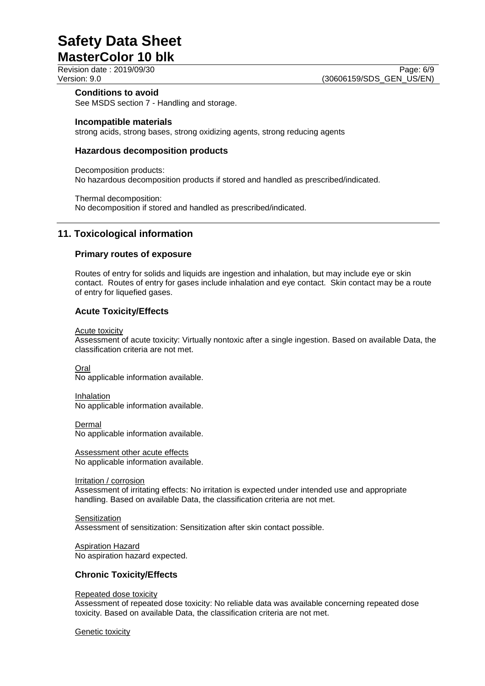**MasterColor 10 blk** Revision date : 2019/09/30<br>
Version: 9.0<br>
Version: 9.0 (30606159/SDS GEN US/EN)

(30606159/SDS\_GEN\_US/EN)

### **Conditions to avoid**

See MSDS section 7 - Handling and storage.

### **Incompatible materials**

strong acids, strong bases, strong oxidizing agents, strong reducing agents

### **Hazardous decomposition products**

Decomposition products: No hazardous decomposition products if stored and handled as prescribed/indicated.

Thermal decomposition: No decomposition if stored and handled as prescribed/indicated.

### **11. Toxicological information**

### **Primary routes of exposure**

Routes of entry for solids and liquids are ingestion and inhalation, but may include eye or skin contact. Routes of entry for gases include inhalation and eye contact. Skin contact may be a route of entry for liquefied gases.

### **Acute Toxicity/Effects**

Acute toxicity

Assessment of acute toxicity: Virtually nontoxic after a single ingestion. Based on available Data, the classification criteria are not met.

Oral No applicable information available.

**Inhalation** No applicable information available.

Dermal No applicable information available.

Assessment other acute effects No applicable information available.

Irritation / corrosion Assessment of irritating effects: No irritation is expected under intended use and appropriate handling. Based on available Data, the classification criteria are not met.

**Sensitization** Assessment of sensitization: Sensitization after skin contact possible.

Aspiration Hazard No aspiration hazard expected.

### **Chronic Toxicity/Effects**

### Repeated dose toxicity

Assessment of repeated dose toxicity: No reliable data was available concerning repeated dose toxicity. Based on available Data, the classification criteria are not met.

Genetic toxicity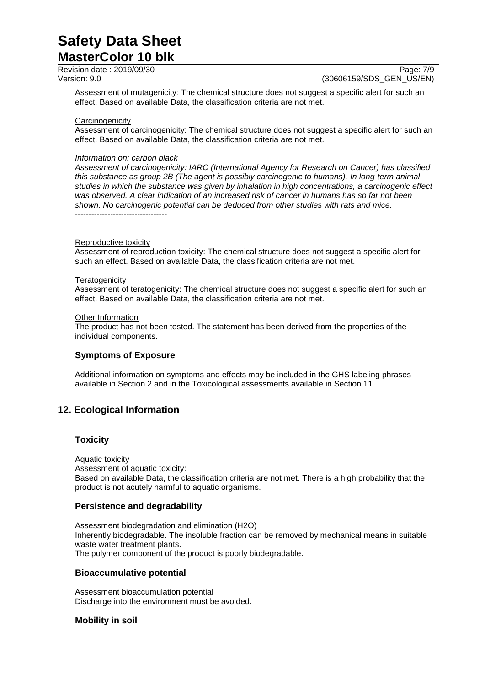**MasterColor 10 blk** Revision date : 2019/09/30<br>
Version: 9.0<br>
Version: 9.0 (30606159/SDS GEN US/EN)

(30606159/SDS GEN US/EN)

Assessment of mutagenicity: The chemical structure does not suggest a specific alert for such an effect. Based on available Data, the classification criteria are not met.

### **Carcinogenicity**

Assessment of carcinogenicity: The chemical structure does not suggest a specific alert for such an effect. Based on available Data, the classification criteria are not met.

### *Information on: carbon black*

*Assessment of carcinogenicity: IARC (International Agency for Research on Cancer) has classified this substance as group 2B (The agent is possibly carcinogenic to humans). In long-term animal studies in which the substance was given by inhalation in high concentrations, a carcinogenic effect was observed. A clear indication of an increased risk of cancer in humans has so far not been shown. No carcinogenic potential can be deduced from other studies with rats and mice.* ----------------------------------

### Reproductive toxicity

Assessment of reproduction toxicity: The chemical structure does not suggest a specific alert for such an effect. Based on available Data, the classification criteria are not met.

### **Teratogenicity**

Assessment of teratogenicity: The chemical structure does not suggest a specific alert for such an effect. Based on available Data, the classification criteria are not met.

### Other Information

The product has not been tested. The statement has been derived from the properties of the individual components.

### **Symptoms of Exposure**

Additional information on symptoms and effects may be included in the GHS labeling phrases available in Section 2 and in the Toxicological assessments available in Section 11.

### **12. Ecological Information**

### **Toxicity**

Aquatic toxicity Assessment of aquatic toxicity: Based on available Data, the classification criteria are not met. There is a high probability that the product is not acutely harmful to aquatic organisms.

### **Persistence and degradability**

Assessment biodegradation and elimination (H2O) Inherently biodegradable. The insoluble fraction can be removed by mechanical means in suitable waste water treatment plants. The polymer component of the product is poorly biodegradable.

### **Bioaccumulative potential**

Assessment bioaccumulation potential Discharge into the environment must be avoided.

### **Mobility in soil**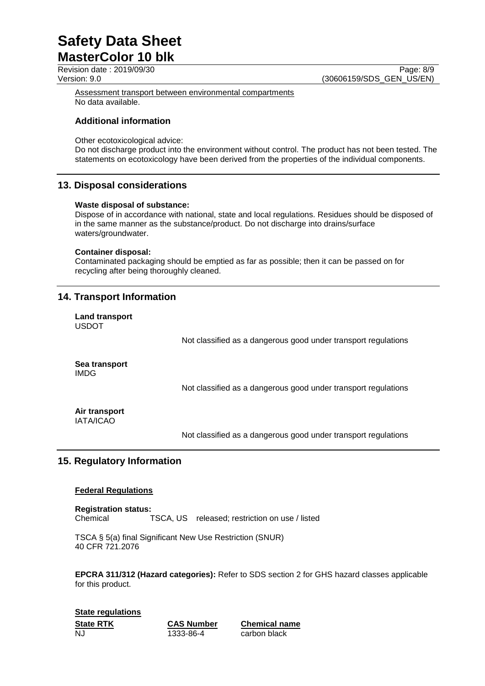### **Safety Data Sheet MasterColor 10 blk**

Revision date : 2019/09/30<br>
Version: 9.0<br>
Version: 9.0 (30606159/SDS GEN US/EN) (30606159/SDS GEN US/EN)

Assessment transport between environmental compartments No data available.

### **Additional information**

Other ecotoxicological advice:

Do not discharge product into the environment without control. The product has not been tested. The statements on ecotoxicology have been derived from the properties of the individual components.

### **13. Disposal considerations**

### **Waste disposal of substance:**

Dispose of in accordance with national, state and local regulations. Residues should be disposed of in the same manner as the substance/product. Do not discharge into drains/surface waters/groundwater.

### **Container disposal:**

Contaminated packaging should be emptied as far as possible; then it can be passed on for recycling after being thoroughly cleaned.

### **14. Transport Information**

**Land transport** USDOT

Not classified as a dangerous good under transport regulations

**Sea transport** IMDG

Not classified as a dangerous good under transport regulations

**Air transport** IATA/ICAO

Not classified as a dangerous good under transport regulations

### **15. Regulatory Information**

### **Federal Regulations**

**Registration status:** Chemical TSCA, US released; restriction on use / listed

TSCA § 5(a) final Significant New Use Restriction (SNUR) 40 CFR 721.2076

**EPCRA 311/312 (Hazard categories):** Refer to SDS section 2 for GHS hazard classes applicable for this product.

| <b>State regulations</b> |                   |                      |  |  |
|--------------------------|-------------------|----------------------|--|--|
| <b>State RTK</b>         | <b>CAS Number</b> | <b>Chemical name</b> |  |  |
| NJ                       | 1333-86-4         | carbon black         |  |  |